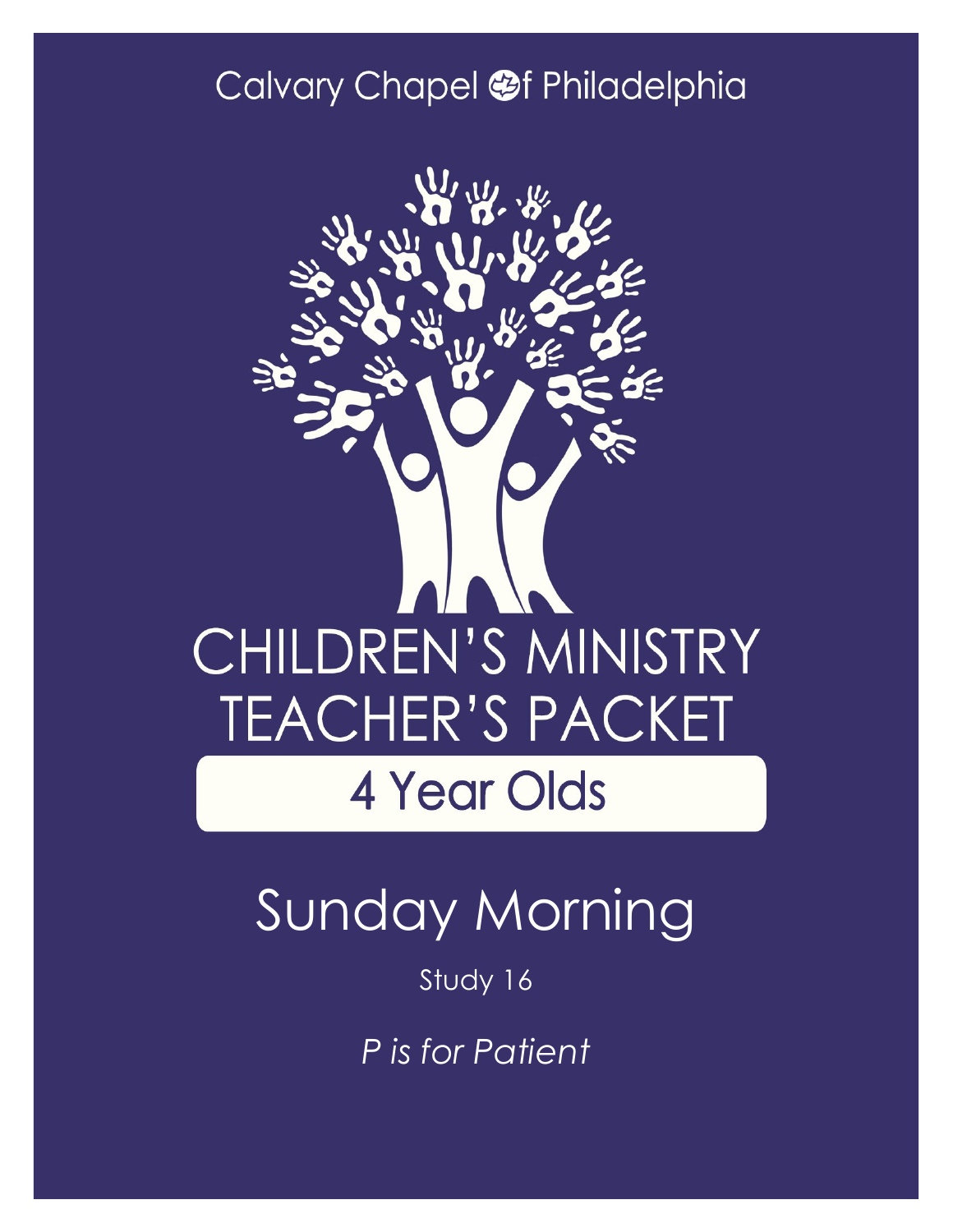### Calvary Chapel @f Philadelphia



## Sunday Morning

#### Study 16

*P is for Patient*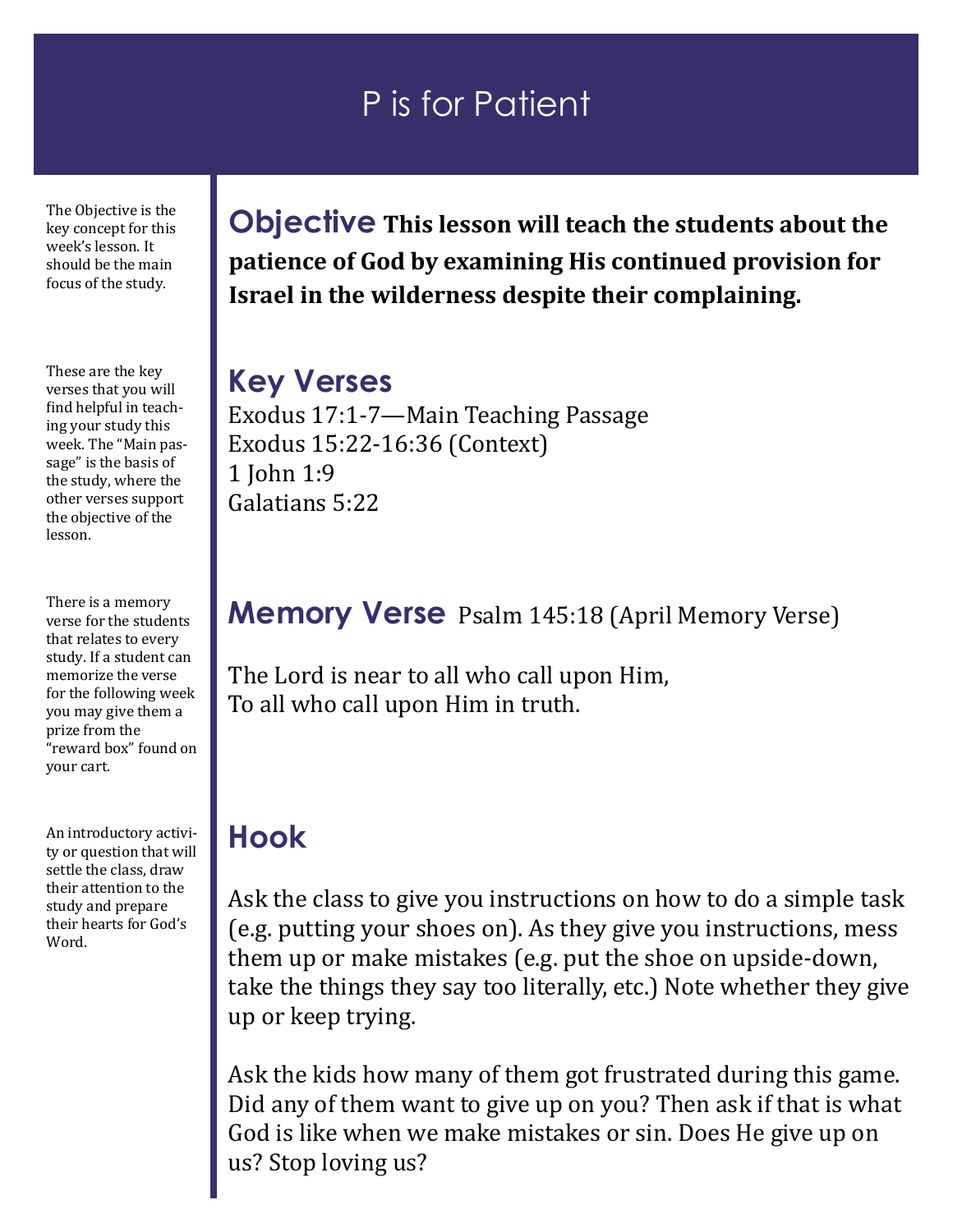### P is for Patient

The Objective is the key concept for this week's lesson. It should be the main focus of the study.

These are the key verses that you will find helpful in teaching your study this week. The "Main passage" is the basis of the study, where the other verses support the objective of the lesson.

There is a memory verse for the students that relates to every study. If a student can memorize the verse for the following week you may give them a prize from the "reward box" found on your cart.

An introductory activity or question that will settle the class, draw their attention to the study and prepare their hearts for God's Word.

**Objective This lesson will teach the students about the patience of God by examining His continued provision for Israel in the wilderness despite their complaining.**

#### **Key Verses**

Exodus 17:1-7—Main Teaching Passage Exodus 15:22-16:36 (Context) 1 John 1:9 Galatians 5:22

#### **Memory Verse** Psalm 145:18 (April Memory Verse)

The Lord is near to all who call upon Him, To all who call upon Him in truth.

#### **Hook**

Ask the class to give you instructions on how to do a simple task (e.g. putting your shoes on). As they give you instructions, mess them up or make mistakes (e.g. put the shoe on upside-down, take the things they say too literally, etc.) Note whether they give up or keep trying.

Ask the kids how many of them got frustrated during this game. Did any of them want to give up on you? Then ask if that is what God is like when we make mistakes or sin. Does He give up on us? Stop loving us?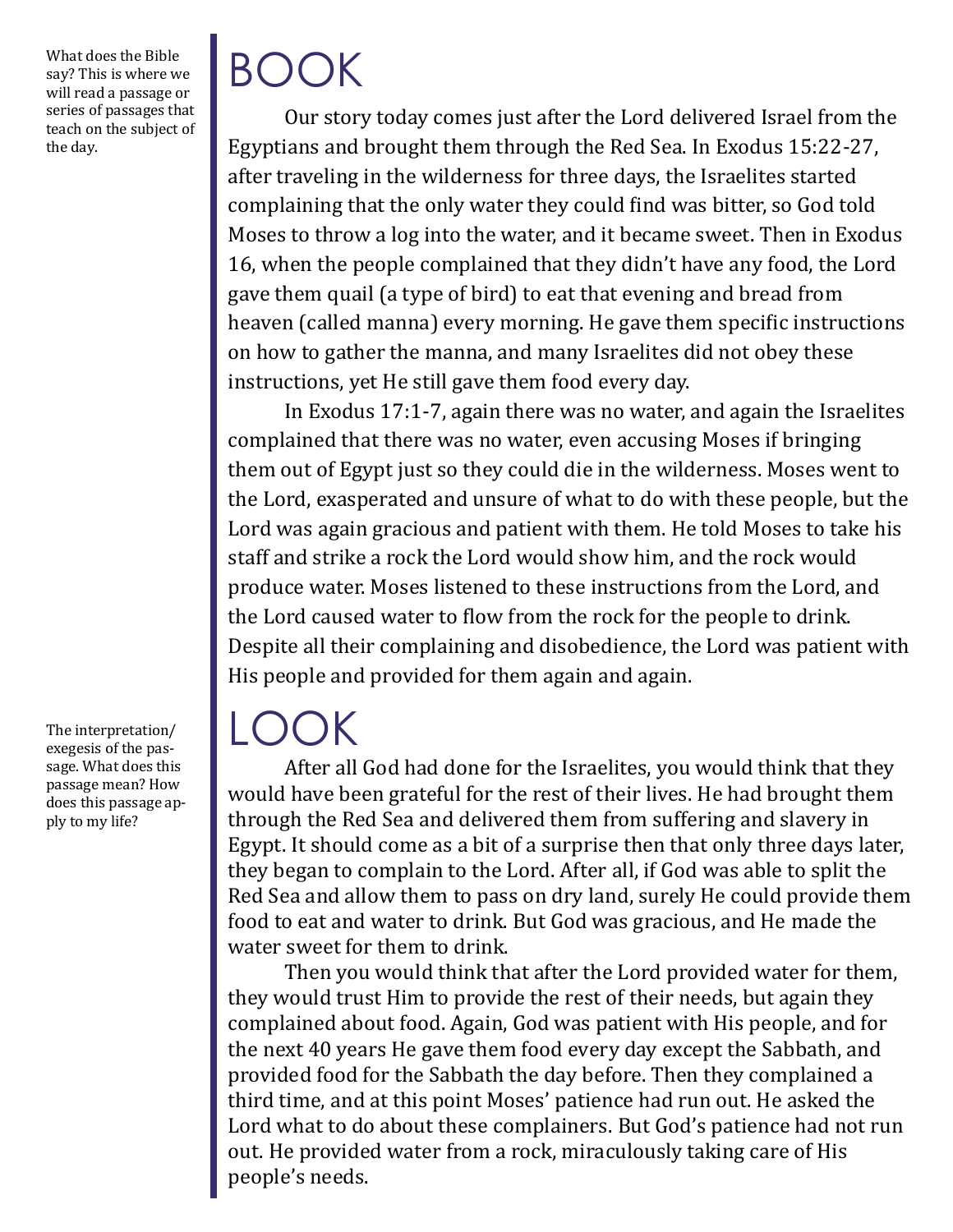What does the Bible say? This is where we will read a passage or series of passages that teach on the subject of the day.

The interpretation/ exegesis of the passage. What does this passage mean? How does this passage apply to my life?

## BOOK

Our story today comes just after the Lord delivered Israel from the Egyptians and brought them through the Red Sea. In Exodus 15:22-27, after traveling in the wilderness for three days, the Israelites started complaining that the only water they could find was bitter, so God told Moses to throw a log into the water, and it became sweet. Then in Exodus 16, when the people complained that they didn't have any food, the Lord gave them quail (a type of bird) to eat that evening and bread from heaven (called manna) every morning. He gave them specific instructions on how to gather the manna, and many Israelites did not obey these instructions, yet He still gave them food every day.

In Exodus 17:1-7, again there was no water, and again the Israelites complained that there was no water, even accusing Moses if bringing them out of Egypt just so they could die in the wilderness. Moses went to the Lord, exasperated and unsure of what to do with these people, but the Lord was again gracious and patient with them. He told Moses to take his staff and strike a rock the Lord would show him, and the rock would produce water. Moses listened to these instructions from the Lord, and the Lord caused water to flow from the rock for the people to drink. Despite all their complaining and disobedience, the Lord was patient with His people and provided for them again and again.

### $\mathsf{L}(\mathsf{C})$

After all God had done for the Israelites, you would think that they would have been grateful for the rest of their lives. He had brought them through the Red Sea and delivered them from suffering and slavery in Egypt. It should come as a bit of a surprise then that only three days later, they began to complain to the Lord. After all, if God was able to split the Red Sea and allow them to pass on dry land, surely He could provide them food to eat and water to drink. But God was gracious, and He made the water sweet for them to drink.

Then you would think that after the Lord provided water for them, they would trust Him to provide the rest of their needs, but again they complained about food. Again, God was patient with His people, and for the next 40 years He gave them food every day except the Sabbath, and provided food for the Sabbath the day before. Then they complained a third time, and at this point Moses' patience had run out. He asked the Lord what to do about these complainers. But God's patience had not run out. He provided water from a rock, miraculously taking care of His people's needs.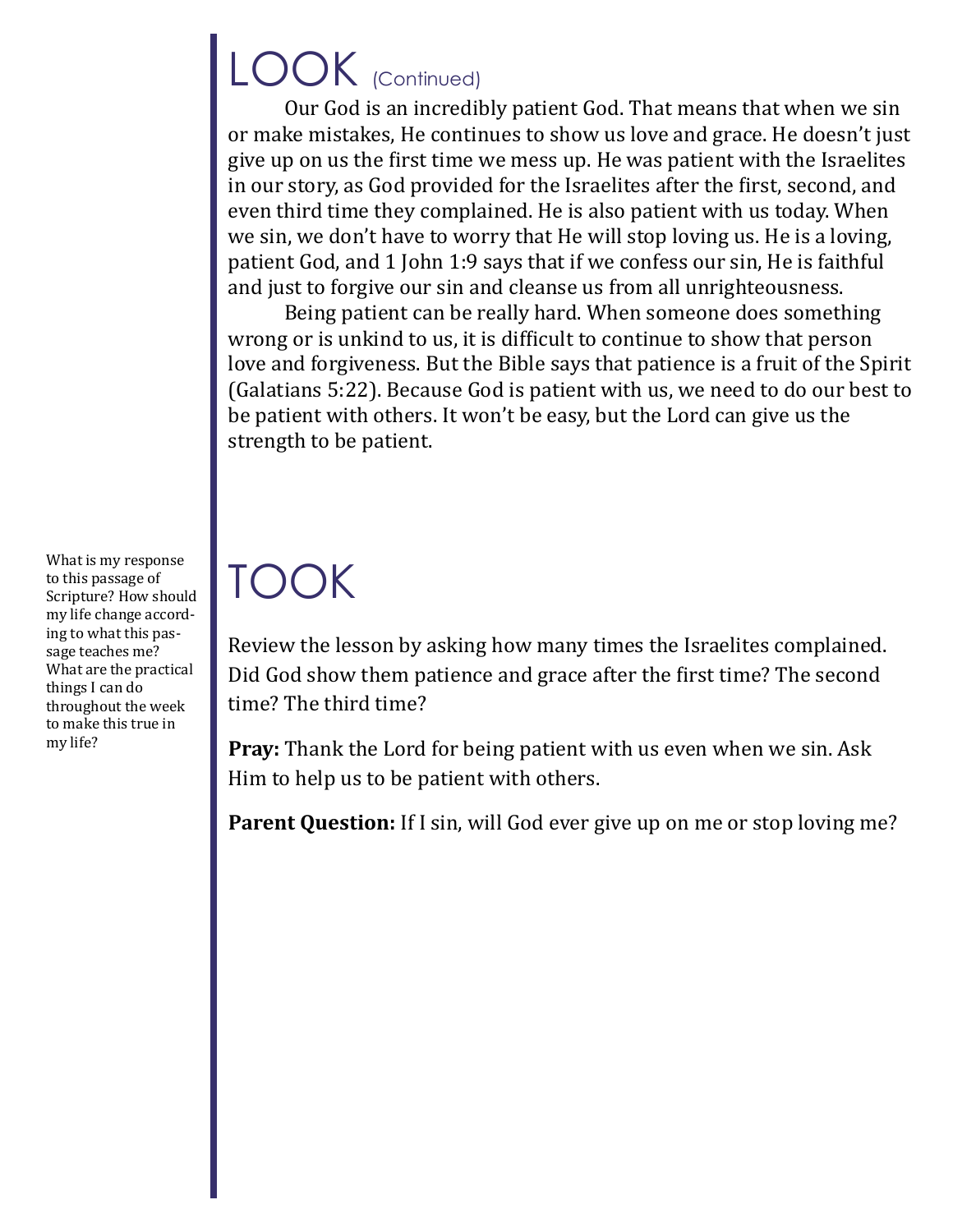## LOOK (Continued)

Our God is an incredibly patient God. That means that when we sin or make mistakes, He continues to show us love and grace. He doesn't just give up on us the first time we mess up. He was patient with the Israelites in our story, as God provided for the Israelites after the first, second, and even third time they complained. He is also patient with us today. When we sin, we don't have to worry that He will stop loving us. He is a loving, patient God, and 1 John 1:9 says that if we confess our sin, He is faithful and just to forgive our sin and cleanse us from all unrighteousness.

Being patient can be really hard. When someone does something wrong or is unkind to us, it is difficult to continue to show that person love and forgiveness. But the Bible says that patience is a fruit of the Spirit (Galatians 5:22). Because God is patient with us, we need to do our best to be patient with others. It won't be easy, but the Lord can give us the strength to be patient.

What is my response to this passage of Scripture? How should my life change according to what this passage teaches me? What are the practical things I can do throughout the week to make this true in my life?

# TOOK

Review the lesson by asking how many times the Israelites complained. Did God show them patience and grace after the first time? The second time? The third time?

**Pray:** Thank the Lord for being patient with us even when we sin. Ask Him to help us to be patient with others.

**Parent Question:** If I sin, will God ever give up on me or stop loving me?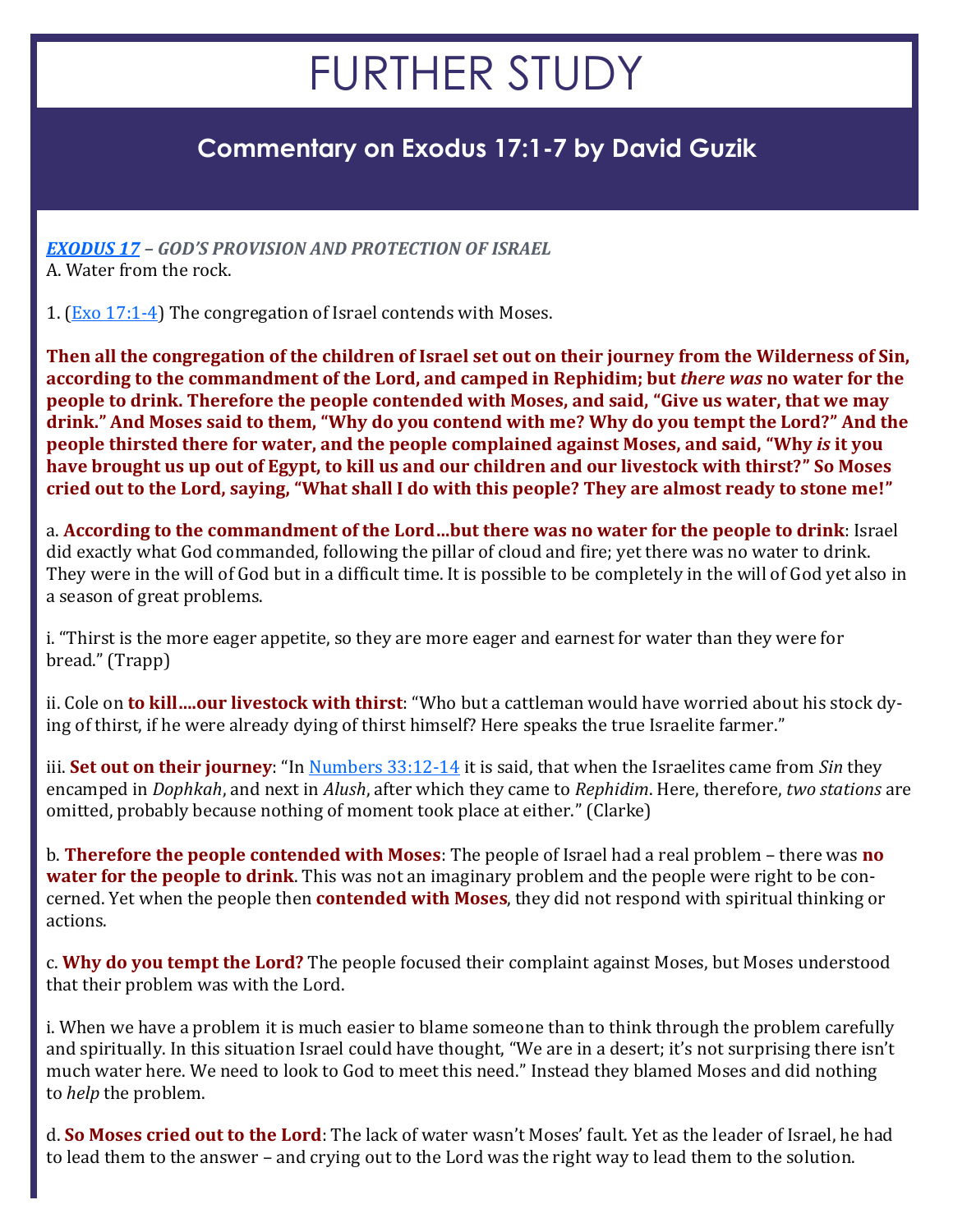### FURTHER STUDY

#### **Commentary on Exodus 17:1-7 by David Guzik**

*[EXODUS 17](https://www.blueletterbible.org/kjv/exodus/17/1-16/s_67001) – GOD'S PROVISION AND PROTECTION OF ISRAEL* A. Water from the rock.

1.  $(Exo 17:1-4)$  $(Exo 17:1-4)$  The congregation of Israel contends with Moses.

**Then all the congregation of the children of Israel set out on their journey from the Wilderness of Sin, according to the commandment of the Lord, and camped in Rephidim; but** *there was* **no water for the people to drink. Therefore the people contended with Moses, and said, "Give us water, that we may drink." And Moses said to them, "Why do you contend with me? Why do you tempt the Lord?" And the people thirsted there for water, and the people complained against Moses, and said, "Why** *is* **it you have brought us up out of Egypt, to kill us and our children and our livestock with thirst?" So Moses cried out to the Lord, saying, "What shall I do with this people? They are almost ready to stone me!"**

a. **According to the commandment of the Lord…but there was no water for the people to drink**: Israel did exactly what God commanded, following the pillar of cloud and fire; yet there was no water to drink. They were in the will of God but in a difficult time. It is possible to be completely in the will of God yet also in a season of great problems.

i. "Thirst is the more eager appetite, so they are more eager and earnest for water than they were for bread." (Trapp)

ii. Cole on **to kill….our livestock with thirst**: "Who but a cattleman would have worried about his stock dying of thirst, if he were already dying of thirst himself? Here speaks the true Israelite farmer."

iii. **Set out on their journey**: "In [Numbers 33:12](https://www.blueletterbible.org/kjv/numbers/33/12-14/s_150012)-14 it is said, that when the Israelites came from *Sin* they encamped in *Dophkah*, and next in *Alush*, after which they came to *Rephidim*. Here, therefore, *two stations* are omitted, probably because nothing of moment took place at either." (Clarke)

b. **Therefore the people contended with Moses**: The people of Israel had a real problem – there was **no water for the people to drink**. This was not an imaginary problem and the people were right to be concerned. Yet when the people then **contended with Moses**, they did not respond with spiritual thinking or actions.

c. **Why do you tempt the Lord?** The people focused their complaint against Moses, but Moses understood that their problem was with the Lord.

i. When we have a problem it is much easier to blame someone than to think through the problem carefully and spiritually. In this situation Israel could have thought, "We are in a desert; it's not surprising there isn't much water here. We need to look to God to meet this need." Instead they blamed Moses and did nothing to *help* the problem.

d. **So Moses cried out to the Lord**: The lack of water wasn't Moses' fault. Yet as the leader of Israel, he had to lead them to the answer – and crying out to the Lord was the right way to lead them to the solution.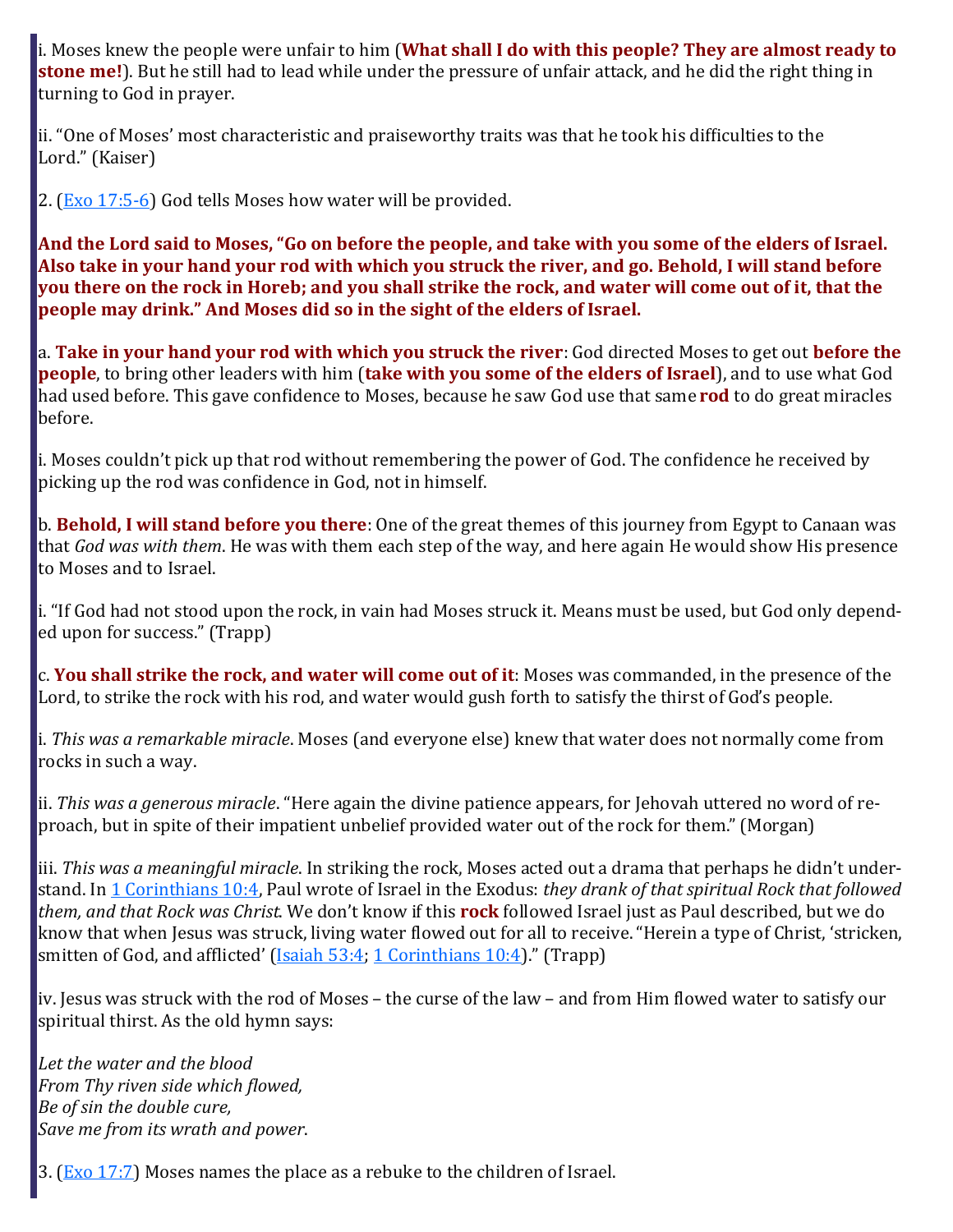i. Moses knew the people were unfair to him (**What shall I do with this people? They are almost ready to stone me!**). But he still had to lead while under the pressure of unfair attack, and he did the right thing in turning to God in prayer.

ii. "One of Moses' most characteristic and praiseworthy traits was that he took his difficulties to the Lord." (Kaiser)

2.  $(Exo 17:5-6)$  $(Exo 17:5-6)$  $(Exo 17:5-6)$  God tells Moses how water will be provided.

**And the Lord said to Moses, "Go on before the people, and take with you some of the elders of Israel. Also take in your hand your rod with which you struck the river, and go. Behold, I will stand before you there on the rock in Horeb; and you shall strike the rock, and water will come out of it, that the people may drink." And Moses did so in the sight of the elders of Israel.**

a. **Take in your hand your rod with which you struck the river**: God directed Moses to get out **before the people**, to bring other leaders with him (**take with you some of the elders of Israel**), and to use what God had used before. This gave confidence to Moses, because he saw God use that same **rod** to do great miracles before.

i. Moses couldn't pick up that rod without remembering the power of God. The confidence he received by picking up the rod was confidence in God, not in himself.

b. **Behold, I will stand before you there**: One of the great themes of this journey from Egypt to Canaan was that *God was with them*. He was with them each step of the way, and here again He would show His presence to Moses and to Israel.

i. "If God had not stood upon the rock, in vain had Moses struck it. Means must be used, but God only depended upon for success." (Trapp)

c. **You shall strike the rock, and water will come out of it**: Moses was commanded, in the presence of the Lord, to strike the rock with his rod, and water would gush forth to satisfy the thirst of God's people.

i. *This was a remarkable miracle*. Moses (and everyone else) knew that water does not normally come from rocks in such a way.

ii. *This was a generous miracle*. "Here again the divine patience appears, for Jehovah uttered no word of reproach, but in spite of their impatient unbelief provided water out of the rock for them." (Morgan)

iii. *This was a meaningful miracle*. In striking the rock, Moses acted out a drama that perhaps he didn't understand. In [1 Corinthians 10:4,](https://www.blueletterbible.org/kjv/1corinthians/10/4/s_1072004) Paul wrote of Israel in the Exodus: *they drank of that spiritual Rock that followed them, and that Rock was Christ*. We don't know if this **rock** followed Israel just as Paul described, but we do know that when Jesus was struck, living water flowed out for all to receive. "Herein a type of Christ, 'stricken, smitten of God, and afflicted' ([Isaiah 53:4;](https://www.blueletterbible.org/kjv/isaiah/53/4/s_732004) [1 Corinthians 10:4](https://www.blueletterbible.org/kjv/1corinthians/10/4/s_1072004))." (Trapp)

iv. Jesus was struck with the rod of Moses – the curse of the law – and from Him flowed water to satisfy our spiritual thirst. As the old hymn says:

*Let the water and the blood From Thy riven side which flowed, Be of sin the double cure, Save me from its wrath and power*.

3.  $(Exo 17:7)$  Moses names the place as a rebuke to the children of Israel.